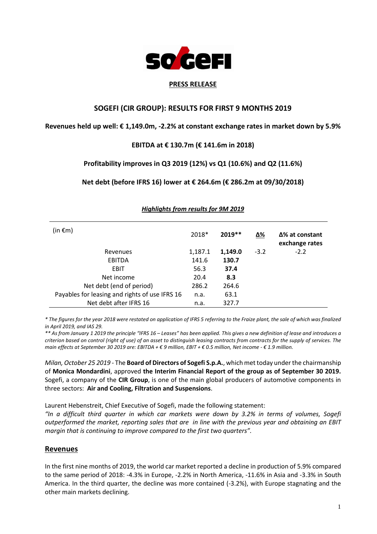

### **PRESS RELEASE**

## **SOGEFI (CIR GROUP): RESULTS FOR FIRST 9 MONTHS 2019**

## **Revenues held up well: € 1,149.0m, -2.2% at constant exchange rates in market down by 5.9%**

## **EBITDA at € 130.7m (€ 141.6m in 2018)**

## **Profitability improves in Q3 2019 (12%) vs Q1 (10.6%) and Q2 (11.6%)**

## **Net debt (before IFRS 16) lower at € 264.6m (€ 286.2m at 09/30/2018)**

| (in $\epsilon$ m)                              | 2018*   | $2019**$ | Δ%     | $\Delta$ % at constant<br>exchange rates |
|------------------------------------------------|---------|----------|--------|------------------------------------------|
| Revenues                                       | 1,187.1 | 1,149.0  | $-3.2$ | $-2.2$                                   |
| EBITDA                                         | 141.6   | 130.7    |        |                                          |
| <b>EBIT</b>                                    | 56.3    | 37.4     |        |                                          |
| Net income                                     | 20.4    | 8.3      |        |                                          |
| Net debt (end of period)                       | 286.2   | 264.6    |        |                                          |
| Payables for leasing and rights of use IFRS 16 | n.a.    | 63.1     |        |                                          |
| Net debt after IFRS 16                         | n.a.    | 327.7    |        |                                          |

### *Highlights from results for 9M 2019*

*\* The figures for the year 2018 were restated on application of IFRS 5 referring to the Fraize plant, the sale of which was finalized in April 2019, and IAS 29.* 

*\*\* As from January 1 2019 the principle "IFRS 16 – Leases" has been applied. This gives a new definition of lease and introduces a criterion based on control (right of use) of an asset to distinguish leasing contracts from contracts for the supply of services. The main effects at September 30 2019 are: EBITDA + € 9 million, EBIT + € 0.5 million, Net income - € 1.9 million.*

*Milan, October 25 2019* - The **Board of Directors of Sogefi S.p.A.**, which met today under the chairmanship of **Monica Mondardini**, approved **the Interim Financial Report of the group as of September 30 2019.**  Sogefi, a company of the **CIR Group**, is one of the main global producers of automotive components in three sectors: **Air and Cooling, Filtration and Suspensions**.

Laurent Hebenstreit, Chief Executive of Sogefi, made the following statement:

*"In a difficult third quarter in which car markets were down by 3.2% in terms of volumes, Sogefi outperformed the market, reporting sales that are in line with the previous year and obtaining an EBIT margin that is continuing to improve compared to the first two quarters".*

## **Revenues**

In the first nine months of 2019, the world car market reported a decline in production of 5.9% compared to the same period of 2018: -4.3% in Europe, -2.2% in North America, -11.6% in Asia and -3.3% in South America. In the third quarter, the decline was more contained (-3.2%), with Europe stagnating and the other main markets declining.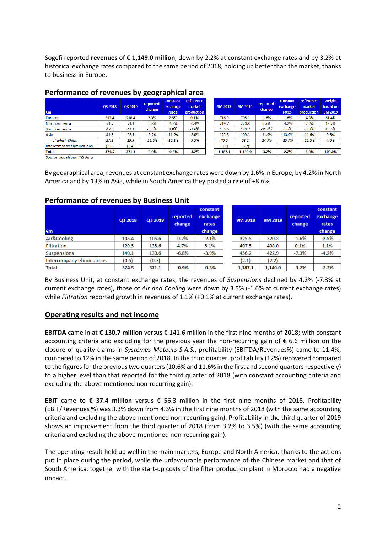Sogefi reported **revenues** of **€ 1,149.0 million**, down by 2.2% at constant exchange rates and by 3.2% at historical exchange rates compared to the same period of 2018, holding up better than the market, thanks to business in Europe.

|                           |         |         | . .<br>. .         |                               |                                   |         |         |                    |                               |                                   |                               |
|---------------------------|---------|---------|--------------------|-------------------------------|-----------------------------------|---------|---------|--------------------|-------------------------------|-----------------------------------|-------------------------------|
| €m                        | Q3 2018 | Q3 2019 | reported<br>change | constant<br>exchange<br>rates | reference<br>market<br>production | 9M 2018 | 9M 2019 | reported<br>change | constant<br>exchange<br>rates | reference<br>market<br>production | weight<br>based on<br>9M 2019 |
| Europe                    | 213.4   | 218.4   | 2.3%               | 2.5%                          | 0.1%                              | 716.9   | 705.1   | $-1.6%$            | $-1.6%$                       | $-4.3%$                           | 61.4%                         |
| <b>North America</b>      | 74.7    | 74.1    | $-0.8%$            | $-4.6%$                       | $-0.4%$                           | 219.7   | 220.8   | 0.5%               | $-4.2%$                       | $-2.2%$                           | 19.2%                         |
| <b>South America</b>      | 47.5    | 43.1    | $-9.3%$            | 4.0%                          | $-3.6%$                           | 135.6   | 120.7   | $-11.0%$           | 8.6%                          | $-3.3%$                           | 10.5%                         |
| Asia                      | 41.5    | 38.1    | $-8.2%$            | $-11.2%$                      | $-8.0%$                           | 123.8   | 109.1   | $-11.9%$           | $-13.0%$                      | $-11.6%$                          | 9.5%                          |
| - of which China          | 23.3    | 19.9    | $-14.5%$           | $-16.1%$                      | $-5.5%$                           | 70.5    | 53.1    | $-24.7%$           | $-25.3%$                      | $-11.5%$                          | 4.6%                          |
| Intercompany eliminations | (2.6)   | (2.4)   |                    |                               |                                   | (8.9)   | (6.7)   |                    |                               |                                   |                               |
| <b>Total</b>              | 374.5   | 371.1   | $-0.9%$            | $-0.3%$                       | $-3.2%$                           | 1,187.1 | 1.149.0 | $-3.2%$            | $-2.2%$                       | $-5.9%$                           | 100.0%                        |

## **Performance of revenues by geographical area**

Source: Sogefi and IHS data

By geographical area, revenues at constant exchange rates were down by 1.6% in Europe, by 4.2% in North America and by 13% in Asia, while in South America they posted a rise of +8.6%.

| €m                        | Q3 2018 | Q3 2019 | reported<br>change | constant<br>exchange<br>rates<br>change | 9M 2018 | 9M 2019 | reported<br>change | constant<br>exchange<br>rates<br>change |
|---------------------------|---------|---------|--------------------|-----------------------------------------|---------|---------|--------------------|-----------------------------------------|
| Air&Cooling               | 105.4   | 105.6   | 0.2%               | $-2.1%$                                 | 325.5   | 320.3   | $-1.6%$            | $-3.5%$                                 |
| <b>Filtration</b>         | 129.5   | 135.6   | 4.7%               | 5.1%                                    | 407.5   | 408.0   | 0.1%               | 1.1%                                    |
| <b>Suspensions</b>        | 140.1   | 130.6   | $-6.8%$            | $-3.9%$                                 | 456.2   | 422.9   | $-7.3%$            | $-4.2%$                                 |
| Intercompany eliminations | (0.5)   | (0.7)   |                    |                                         | (2.1)   | (2.2)   |                    |                                         |
| <b>Total</b>              | 374.5   | 371.1   | $-0.9%$            | $-0.3%$                                 | 1,187.1 | 1,149.0 | $-3.2%$            | $-2.2%$                                 |

# **Performance of revenues by Business Unit**

By Business Unit, at constant exchange rates, the revenues of *Suspensions* declined by 4.2% (-7.3% at current exchange rates), those of *Air and Cooling* were down by 3.5% (-1.6% at current exchange rates) while *Filtration* reported growth in revenues of 1.1% (+0.1% at current exchange rates).

# **Operating results and net income**

**EBITDA** came in at **€ 130.7 million** versus € 141.6 million in the first nine months of 2018; with constant accounting criteria and excluding for the previous year the non-recurring gain of € 6.6 million on the closure of quality claims in *Systèmes Moteurs S.A.S.*, profitability (EBITDA/Revenues%) came to 11.4%, compared to 12% in the same period of 2018. In the third quarter, profitability (12%) recovered compared to the figures for the previous two quarters(10.6% and 11.6% in the first and second quarters respectively) to a higher level than that reported for the third quarter of 2018 (with constant accounting criteria and excluding the above-mentioned non-recurring gain).

**EBIT** came to **€ 37.4 million** versus € 56.3 million in the first nine months of 2018. Profitability (EBIT/Revenues %) was 3.3% down from 4.3% in the first nine months of 2018 (with the same accounting criteria and excluding the above-mentioned non-recurring gain). Profitability in the third quarter of 2019 shows an improvement from the third quarter of 2018 (from 3.2% to 3.5%) (with the same accounting criteria and excluding the above-mentioned non-recurring gain).

The operating result held up well in the main markets, Europe and North America, thanks to the actions put in place during the period, while the unfavourable performance of the Chinese market and that of South America, together with the start-up costs of the filter production plant in Morocco had a negative impact.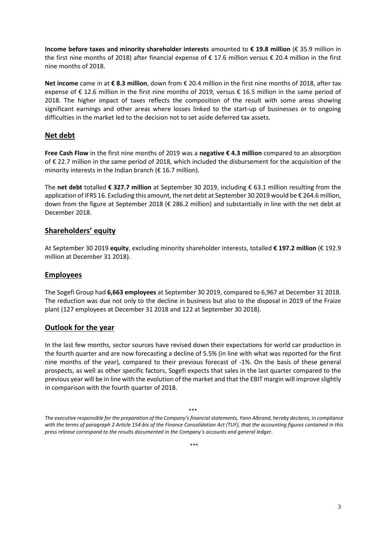**Income before taxes and minority shareholder interests** amounted to **€ 19.8 million** (€ 35.9 million in the first nine months of 2018) after financial expense of € 17.6 million versus € 20.4 million in the first nine months of 2018.

**Net income** came in at **€ 8.3 million**, down from € 20.4 million in the first nine months of 2018, after tax expense of € 12.6 million in the first nine months of 2019, versus € 16.5 million in the same period of 2018. The higher impact of taxes reflects the composition of the result with some areas showing significant earnings and other areas where losses linked to the start-up of businesses or to ongoing difficulties in the market led to the decision not to set aside deferred tax assets.

# **Net debt**

**Free Cash Flow** in the first nine months of 2019 was a **negative € 4.3 million** compared to an absorption of € 22.7 million in the same period of 2018, which included the disbursement for the acquisition of the minority interests in the Indian branch ( $\epsilon$  16.7 million).

The **net debt** totalled **€ 327.7 million** at September 30 2019, including € 63.1 million resulting from the application of IFRS 16. Excluding this amount, the net debt at September 30 2019 would be € 264.6 million, down from the figure at September 2018 (€ 286.2 million) and substantially in line with the net debt at December 2018.

# **Shareholders' equity**

At September 30 2019 **equity**, excluding minority shareholder interests, totalled **€ 197.2 million** (€ 192.9 million at December 31 2018).

# **Employees**

The Sogefi Group had **6,663 employees** at September 30 2019, compared to 6,967 at December 31 2018. The reduction was due not only to the decline in business but also to the disposal in 2019 of the Fraize plant (127 employees at December 31 2018 and 122 at September 30 2018).

# **Outlook for the year**

In the last few months, sector sources have revised down their expectations for world car production in the fourth quarter and are now forecasting a decline of 5.5% (in line with what was reported for the first nine months of the year), compared to their previous forecast of -1%. On the basis of these general prospects, as well as other specific factors, Sogefi expects that sales in the last quarter compared to the previous year will be in line with the evolution of the market and that the EBIT margin will improve slightly in comparison with the fourth quarter of 2018.

\*\*\* *The executive responsible for the preparation of the Company's financial statements, Yann Albrand, hereby declares, in compliance with the terms of paragraph 2 Article 154-bis of the Finance Consolidation Act (TUF), that the accounting figures contained in this press release correspond to the results documented in the Company's accounts and general ledger.*

\*\*\*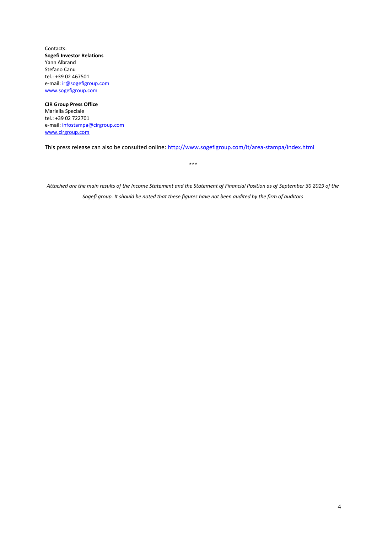Contacts: **Sogefi Investor Relations**  Yann Albrand Stefano Canu tel.: +39 02 467501 e-mail[: ir@sogefigroup.com](mailto:ir@sogefigroup.com) [www.sogefigroup.com](http://www.sogefigroup.com/)

**CIR Group Press Office** Mariella Speciale tel.: +39 02 722701 e-mail[: infostampa@cirgroup.com](mailto:infostampa@cirgroup.it) [www.cirgroup.com](http://www.cirgroup.it/)

This press release can also be consulted online:<http://www.sogefigroup.com/it/area-stampa/index.html>

*\*\*\**

*Attached are the main results of the Income Statement and the Statement of Financial Position as of September 30 2019 of the Sogefi group. It should be noted that these figures have not been audited by the firm of auditors*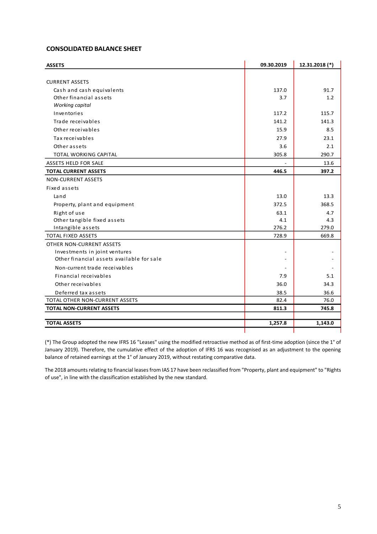### **CONSOLIDATED BALANCE SHEET**

| <b>ASSETS</b>                             | 09.30.2019 | 12.31.2018 (*) |
|-------------------------------------------|------------|----------------|
|                                           |            |                |
| <b>CURRENT ASSETS</b>                     |            |                |
| Cash and cash equivalents                 | 137.0      | 91.7           |
| Other financial assets                    | 3.7        | 1.2            |
| Working capital                           |            |                |
| Inventories                               | 117.2      | 115.7          |
| Trade receivables                         | 141.2      | 141.3          |
| Other receivables                         | 15.9       | 8.5            |
| Tax receivables                           | 27.9       | 23.1           |
| Other assets                              | 3.6        | 2.1            |
| <b>TOTAL WORKING CAPITAL</b>              | 305.8      | 290.7          |
| ASSETS HELD FOR SALE                      |            | 13.6           |
| <b>TOTAL CURRENT ASSETS</b>               | 446.5      | 397.2          |
| <b>NON-CURRENT ASSETS</b>                 |            |                |
| Fixed assets                              |            |                |
| Land                                      | 13.0       | 13.3           |
| Property, plant and equipment             | 372.5      | 368.5          |
| Right of use                              | 63.1       | 4.7            |
| Other tangible fixed assets               | 4.1        | 4.3            |
| Intangible assets                         | 276.2      | 279.0          |
| <b>TOTAL FIXED ASSETS</b>                 | 728.9      | 669.8          |
| OTHER NON-CURRENT ASSETS                  |            |                |
| Investments in joint ventures             |            |                |
| Other financial assets available for sale |            |                |
| Non-current trade receivables             |            |                |
| Financial receivables                     | 7.9        | 5.1            |
| Other receivables                         | 36.0       | 34.3           |
| Deferred tax assets                       | 38.5       | 36.6           |
| <b>TOTAL OTHER NON-CURRENT ASSETS</b>     | 82.4       | 76.0           |
| <b>TOTAL NON-CURRENT ASSETS</b>           | 811.3      | 745.8          |
|                                           |            |                |
| <b>TOTAL ASSETS</b>                       | 1,257.8    | 1,143.0        |

(\*) The Group adopted the new IFRS 16 "Leases" using the modified retroactive method as of first-time adoption (since the 1° of January 2019). Therefore, the cumulative effect of the adoption of IFRS 16 was recognised as an adjustment to the opening balance of retained earnings at the 1° of January 2019, without restating comparative data.

The 2018 amounts relating to financial leases from IAS 17 have been reclassified from "Property, plant and equipment" to "Rights of use", in line with the classification established by the new standard.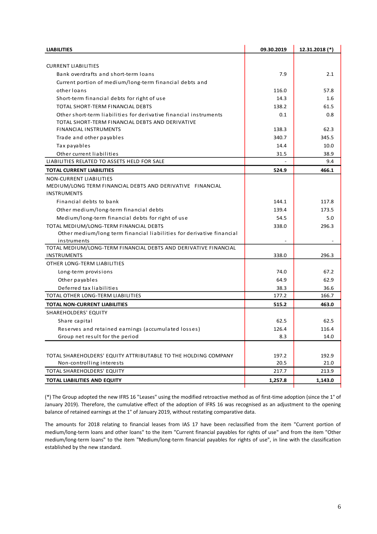| <b>LIABILITIES</b>                                                                   | 09.30.2019 | 12.31.2018 (*) |
|--------------------------------------------------------------------------------------|------------|----------------|
|                                                                                      |            |                |
| <b>CURRENT LIABILITIES</b>                                                           |            |                |
| Bank overdrafts and short-term loans                                                 | 7.9        | 2.1            |
| Current portion of medium/long-term financial debts and                              |            |                |
| other loans                                                                          | 116.0      | 57.8           |
| Short-term financial debts for right of use                                          | 14.3       | 1.6            |
| TOTAL SHORT-TERM FINANCIAL DEBTS                                                     | 138.2      | 61.5           |
| Other short-term liabilities for derivative financial instruments                    | 0.1        | 0.8            |
| TOTAL SHORT-TERM FINANCIAL DEBTS AND DERIVATIVE                                      |            |                |
| <b>FINANCIAL INSTRUMENTS</b>                                                         | 138.3      | 62.3           |
| Trade and other payables                                                             | 340.7      | 345.5          |
| Tax payables                                                                         | 14.4       | 10.0           |
| Other current liabilities                                                            | 31.5       | 38.9           |
| LIABILITIES RELATED TO ASSETS HELD FOR SALE                                          |            | 9.4            |
| <b>TOTAL CURRENT LIABILITIES</b>                                                     | 524.9      | 466.1          |
| NON-CURRENT LIABILITIES                                                              |            |                |
| MEDIUM/LONG TERM FINANCIAL DEBTS AND DERIVATIVE FINANCIAL                            |            |                |
| <b>INSTRUMENTS</b>                                                                   |            |                |
| Financial debts to bank                                                              | 144.1      | 117.8          |
| Other medium/long-term financial debts                                               | 139.4      | 173.5          |
| Medium/long-term financial debts for right of use                                    | 54.5       | 5.0            |
| TOTAL MEDIUM/LONG-TERM FINANCIAL DEBTS                                               | 338.0      | 296.3          |
| Other medium/long term financial liabilities for derivative financial<br>instruments |            |                |
| TOTAL MEDIUM/LONG-TERM FINANCIAL DEBTS AND DERIVATIVE FINANCIAL                      |            |                |
| <b>INSTRUMENTS</b>                                                                   | 338.0      | 296.3          |
| OTHER LONG-TERM LIABILITIES                                                          |            |                |
| Long-term provisions                                                                 | 74.0       | 67.2           |
| Other payables                                                                       | 64.9       | 62.9           |
| Deferred tax liabilities                                                             | 38.3       | 36.6           |
| TOTAL OTHER LONG-TERM LIABILITIES                                                    | 177.2      | 166.7          |
| <b>TOTAL NON-CURRENT LIABILITIES</b>                                                 | 515.2      | 463.0          |
| <b>SHAREHOLDERS' EQUITY</b>                                                          |            |                |
| Share capital                                                                        | 62.5       | 62.5           |
| Reserves and retained earnings (accumulated losses)                                  | 126.4      | 116.4          |
| Group net result for the period                                                      | 8.3        | 14.0           |
|                                                                                      |            |                |
| TOTAL SHAREHOLDERS' EQUITY ATTRIBUTABLE TO THE HOLDING COMPANY                       | 197.2      | 192.9          |
| Non-controlling interests                                                            | 20.5       | 21.0           |
| TOTAL SHAREHOLDERS' EQUITY                                                           | 217.7      | 213.9          |
| <b>TOTAL LIABILITIES AND EQUITY</b>                                                  | 1,257.8    | 1,143.0        |
|                                                                                      |            |                |

(\*) The Group adopted the new IFRS 16 "Leases" using the modified retroactive method as of first-time adoption (since the 1° of January 2019). Therefore, the cumulative effect of the adoption of IFRS 16 was recognised as an adjustment to the opening balance of retained earnings at the 1° of January 2019, without restating comparative data.

The amounts for 2018 relating to financial leases from IAS 17 have been reclassified from the item "Current portion of medium/long-term loans and other loans" to the item "Current financial payables for rights of use" and from the item "Other medium/long-term loans" to the item "Medium/long-term financial payables for rights of use", in line with the classification established by the new standard.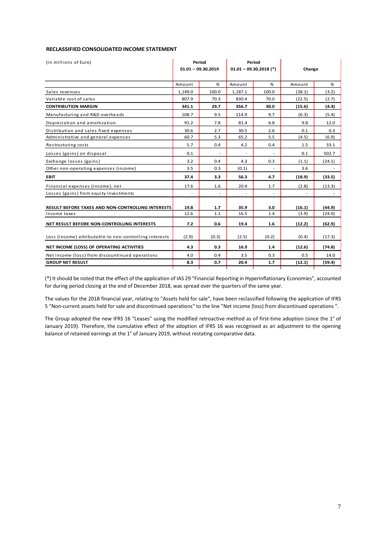#### **RECLASSIFIED CONSOLIDATED INCOME STATEMENT**

| (in millions of Euro)                                    | Period<br>$01.01 - 09.30.2019$ |       | $01.01 - 09.30.2018$ (*) | Period           | Change |        |  |
|----------------------------------------------------------|--------------------------------|-------|--------------------------|------------------|--------|--------|--|
|                                                          | Amount                         | %     | Amount                   | %                | Amount | %      |  |
| Sales revenues                                           | 1.149.0                        | 100.0 | 1,187.1                  | 100.0            | (38.1) | (3.2)  |  |
| Variable cost of sales                                   | 807.9                          | 70.3  | 830.4                    | 70.0             | (22.5) | (2.7)  |  |
| <b>CONTRIBUTION MARGIN</b>                               | 341.1                          | 29.7  | 356.7                    | 30.0             | (15.6) | (4.4)  |  |
| Manufacturing and R&D overheads                          | 108.7                          | 9.5   | 114.9                    | 9.7              | (6.3)  | (5.4)  |  |
| Depreciation and amortization                            | 91.2                           | 7.8   | 81.4                     | 6.8              | 9.8    | 12.0   |  |
| Distribution and sales fixed expenses                    | 30.6                           | 2.7   | 30.5                     | 2.6              | 0.1    | 0.3    |  |
| Administrative and general expenses                      | 60.7                           | 5.3   | 65.2                     | 5.5              | (4.5)  | (6.9)  |  |
| Restructuring costs                                      | 5.7                            | 0.4   | 4.2                      | 0.4              | 1.5    | 33.1   |  |
| Losses (gains) on disposal                               | 0.1                            |       |                          |                  | 0.1    | 502.7  |  |
| Exchange losses (gains)                                  | 3.2                            | 0.4   | 4.3                      | 0.3              | (1.1)  | (24.1) |  |
| Other non-operating expenses (income)                    | 3.5                            | 0.3   | (0.1)                    |                  | 3.6    |        |  |
| <b>EBIT</b>                                              | 37.4                           | 3.3   | 56.3                     | 4.7              | (18.9) | (33.5) |  |
| Financial expenses (income), net                         | 17.6                           | 1.6   | 20.4                     | 1.7              | (2.8)  | (13.3) |  |
| Losses (gains) from equity investments                   |                                |       |                          |                  |        |        |  |
| <b>RESULT BEFORE TAXES AND NON-CONTROLLING INTERESTS</b> | 19.8                           | 1.7   | 35.9                     | 3.0              | (16.1) | (44.9) |  |
| Income taxes                                             | 12.6                           | 1.1   | 16.5                     | 1.4              | (3.9)  | (24.0) |  |
| NET RESULT BEFORE NON-CONTROLLING INTERESTS              | 7.2                            | 0.6   | 19.4                     | 1.6              | (12.2) | (62.9) |  |
| Loss (income) attributable to non-controlling interests  | (2.9)                          | (0.3) | (2.5)                    | (0.2)            | (0.4)  | (17.3) |  |
| NET INCOME (LOSS) OF OPERATING ACTIVITIES                | 4.3                            | 0.3   | 16.9                     | 1.4              | (12.6) | (74.8) |  |
| Net income (loss) from discountinued operations          | 4.0                            | 0.4   | 3.5                      | 0.3              | 0.5    | 14.0   |  |
| <b>GROUP NET RESULT</b>                                  | 8.3                            | 0.7   | 20.4                     | 1.7 <sub>2</sub> | (12.1) | (59.4) |  |

(\*) It should be noted that the effect of the application of IAS 29 "Financial Reporting in Hyperinflationary Economies", accounted for during period closing at the end of December 2018, was spread over the quarters of the same year.

The values for the 2018 financial year, relating to "Assets held for sale", have been reclassified following the application of IFRS 5 "Non-current assets held for sale and discontinued operations" to the line "Net income (loss) from discontinued operations ".

The Group adopted the new IFRS 16 "Leases" using the modified retroactive method as of first-time adoption (since the 1° of January 2019). Therefore, the cumulative effect of the adoption of IFRS 16 was recognised as an adjustment to the opening balance of retained earnings at the 1° of January 2019, without restating comparative data.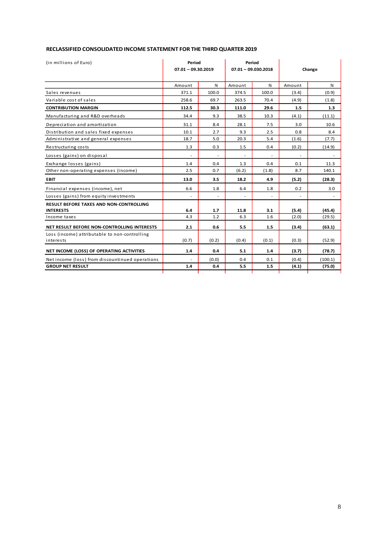| RECLASSIFIED CONSOLIDATED INCOME STATEMENT FOR THE THIRD QUARTER 2019 |  |
|-----------------------------------------------------------------------|--|
|-----------------------------------------------------------------------|--|

| (in millions of Euro)                           | Period               |       |        | Period                |        |         |  |  |
|-------------------------------------------------|----------------------|-------|--------|-----------------------|--------|---------|--|--|
|                                                 | $07.01 - 09.30.2019$ |       |        | $07.01 - 09.030.2018$ |        | Change  |  |  |
|                                                 | Amount               | %     | Amount | %                     | Amount | %       |  |  |
| Sales revenues                                  | 371.1                | 100.0 | 374.5  | 100.0                 | (3.4)  | (0.9)   |  |  |
| Variable cost of sales                          | 258.6                | 69.7  | 263.5  | 70.4                  | (4.9)  | (1.8)   |  |  |
| <b>CONTRIBUTION MARGIN</b>                      | 112.5                | 30.3  | 111.0  | 29.6                  | 1.5    | 1.3     |  |  |
| Manufacturing and R&D overheads                 | 34.4                 | 9.3   | 38.5   | 10.3                  | (4.1)  | (11.1)  |  |  |
| Depreciation and amortization                   | 31.1                 | 8.4   | 28.1   | 7.5                   | 3.0    | 10.6    |  |  |
| Distribution and sales fixed expenses           | 10.1                 | 2.7   | 9.3    | 2.5                   | 0.8    | 8.4     |  |  |
| Administrative and general expenses             | 18.7                 | 5.0   | 20.3   | 5.4                   | (1.6)  | (7.7)   |  |  |
| Restructuring costs                             | 1.3                  | 0.3   | 1.5    | 0.4                   | (0.2)  | (14.9)  |  |  |
| Losses (gains) on disposal                      |                      |       |        |                       |        |         |  |  |
| Exchange losses (gains)                         | 1.4                  | 0.4   | 1.3    | 0.4                   | 0.1    | 11.3    |  |  |
| Other non-operating expenses (income)           | 2.5                  | 0.7   | (6.2)  | (1.8)                 | 8.7    | 140.1   |  |  |
| <b>EBIT</b>                                     | 13.0                 | 3.5   | 18.2   | 4.9                   | (5.2)  | (28.3)  |  |  |
| Financial expenses (income), net                | 6.6                  | 1.8   | 6.4    | 1.8                   | 0.2    | 3.0     |  |  |
| Losses (gains) from equity investments          |                      |       |        |                       |        |         |  |  |
| <b>RESULT BEFORE TAXES AND NON-CONTROLLING</b>  |                      |       |        |                       |        |         |  |  |
| <b>INTERESTS</b>                                | 6.4                  | 1.7   | 11.8   | 3.1                   | (5.4)  | (45.4)  |  |  |
| Income taxes                                    | 4.3                  | 1.2   | 6.3    | 1.6                   | (2.0)  | (29.5)  |  |  |
| NET RESULT BEFORE NON-CONTROLLING INTERESTS     | 2.1                  | 0.6   | 5.5    | 1.5                   | (3.4)  | (63.1)  |  |  |
| Loss (income) attributable to non-controlling   |                      |       |        |                       |        |         |  |  |
| interests                                       | (0.7)                | (0.2) | (0.4)  | (0.1)                 | (0.3)  | (52.9)  |  |  |
| NET INCOME (LOSS) OF OPERATING ACTIVITIES       | 1.4                  | 0.4   | 5.1    | 1.4                   | (3.7)  | (78.7)  |  |  |
| Net income (loss) from discountinued operations |                      | (0.0) | 0.4    | 0.1                   | (0.4)  | (100.1) |  |  |
| <b>GROUP NET RESULT</b>                         | 1.4                  | 0.4   | 5.5    | 1.5                   | (4.1)  | (75.0)  |  |  |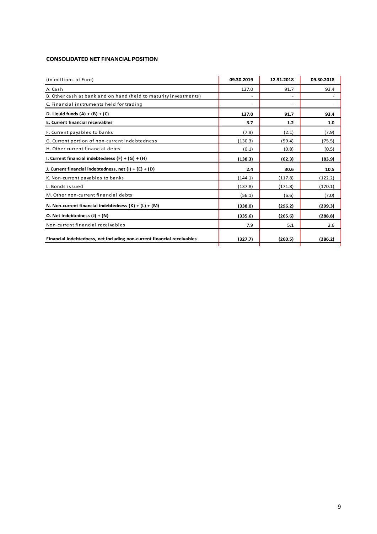### **CONSOLIDATED NET FINANCIAL POSITION**

| (in millions of Euro)                                                   | 09.30.2019 | 12.31.2018 | 09.30.2018 |
|-------------------------------------------------------------------------|------------|------------|------------|
| A. Cash                                                                 | 137.0      | 91.7       | 93.4       |
| B. Other cash at bank and on hand (held to maturity investments)        |            |            |            |
| C. Financial instruments held for trading                               | ٠          |            |            |
| D. Liquid funds $(A) + (B) + (C)$                                       | 137.0      | 91.7       | 93.4       |
| E. Current financial receivables                                        | 3.7        | 1.2        | 1.0        |
| F. Current payables to banks                                            | (7.9)      | (2.1)      | (7.9)      |
| G. Current portion of non-current indebtedness                          | (130.3)    | (59.4)     | (75.5)     |
| H. Other current financial debts                                        | (0.1)      | (0.8)      | (0.5)      |
| I. Current financial indebtedness $(F) + (G) + (H)$                     | (138.3)    | (62.3)     | (83.9)     |
| J. Current financial indebtedness, net $(l) + (E) + (D)$                | 2.4        | 30.6       | 10.5       |
| K. Non-current payables to banks                                        | (144.1)    | (117.8)    | (122.2)    |
| L. Bonds issued                                                         | (137.8)    | (171.8)    | (170.1)    |
| M. Other non-current financial debts                                    | (56.1)     | (6.6)      | (7.0)      |
| N. Non-current financial indebtedness $(K) + (L) + (M)$                 | (338.0)    | (296.2)    | (299.3)    |
| O. Net indebtedness $(J) + (N)$                                         | (335.6)    | (265.6)    | (288.8)    |
| Non-current financial receivables                                       | 7.9        | 5.1        | 2.6        |
| Financial indebtedness, net including non-current financial receivables | (327.7)    | (260.5)    | (286.2)    |